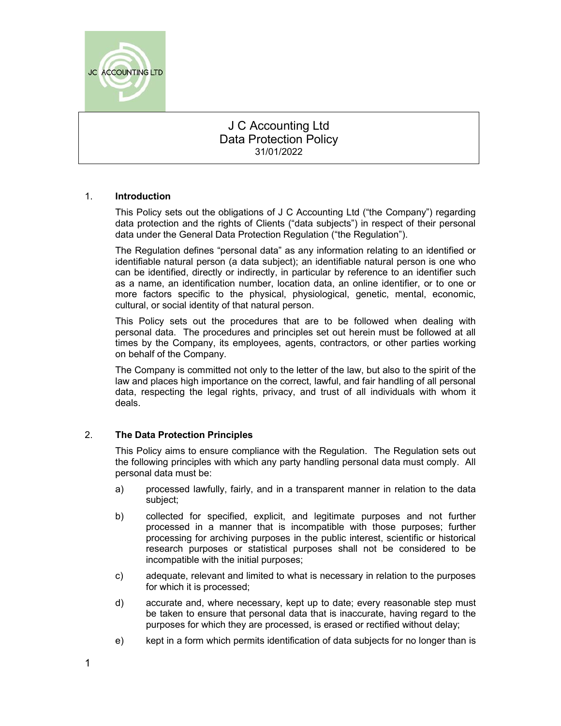

# J C Accounting Ltd Data Protection Policy 31/01/2022

# 1. Introduction

This Policy sets out the obligations of J C Accounting Ltd ("the Company") regarding data protection and the rights of Clients ("data subjects") in respect of their personal data under the General Data Protection Regulation ("the Regulation").

The Regulation defines "personal data" as any information relating to an identified or identifiable natural person (a data subject); an identifiable natural person is one who can be identified, directly or indirectly, in particular by reference to an identifier such as a name, an identification number, location data, an online identifier, or to one or more factors specific to the physical, physiological, genetic, mental, economic, cultural, or social identity of that natural person.

This Policy sets out the procedures that are to be followed when dealing with personal data. The procedures and principles set out herein must be followed at all times by the Company, its employees, agents, contractors, or other parties working on behalf of the Company.

The Company is committed not only to the letter of the law, but also to the spirit of the law and places high importance on the correct, lawful, and fair handling of all personal data, respecting the legal rights, privacy, and trust of all individuals with whom it deals.

# 2. The Data Protection Principles

This Policy aims to ensure compliance with the Regulation. The Regulation sets out the following principles with which any party handling personal data must comply. All personal data must be:

- a) processed lawfully, fairly, and in a transparent manner in relation to the data subject;
- b) collected for specified, explicit, and legitimate purposes and not further processed in a manner that is incompatible with those purposes; further processing for archiving purposes in the public interest, scientific or historical research purposes or statistical purposes shall not be considered to be incompatible with the initial purposes;
- c) adequate, relevant and limited to what is necessary in relation to the purposes for which it is processed;
- d) accurate and, where necessary, kept up to date; every reasonable step must be taken to ensure that personal data that is inaccurate, having regard to the purposes for which they are processed, is erased or rectified without delay;
- e) kept in a form which permits identification of data subjects for no longer than is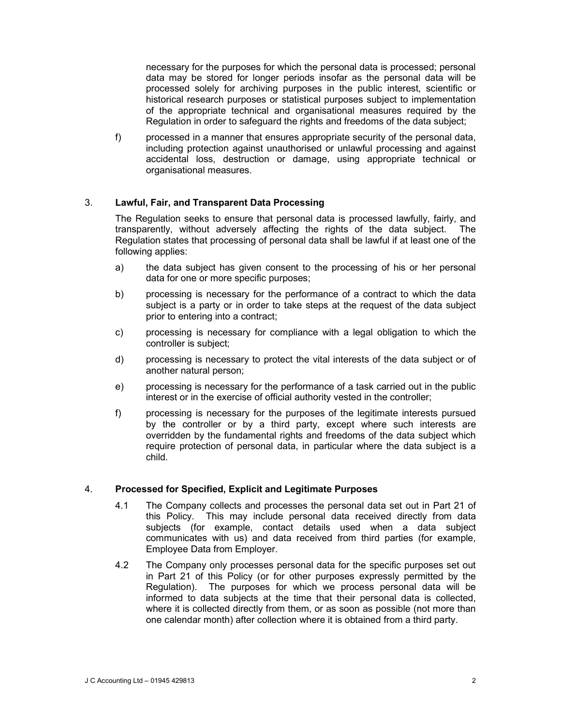necessary for the purposes for which the personal data is processed; personal data may be stored for longer periods insofar as the personal data will be processed solely for archiving purposes in the public interest, scientific or historical research purposes or statistical purposes subject to implementation of the appropriate technical and organisational measures required by the Regulation in order to safeguard the rights and freedoms of the data subject;

f) processed in a manner that ensures appropriate security of the personal data, including protection against unauthorised or unlawful processing and against accidental loss, destruction or damage, using appropriate technical or organisational measures.

# 3. Lawful, Fair, and Transparent Data Processing

The Regulation seeks to ensure that personal data is processed lawfully, fairly, and transparently, without adversely affecting the rights of the data subject. The Regulation states that processing of personal data shall be lawful if at least one of the following applies:

- a) the data subject has given consent to the processing of his or her personal data for one or more specific purposes;
- b) processing is necessary for the performance of a contract to which the data subject is a party or in order to take steps at the request of the data subject prior to entering into a contract;
- c) processing is necessary for compliance with a legal obligation to which the controller is subject;
- d) processing is necessary to protect the vital interests of the data subject or of another natural person;
- e) processing is necessary for the performance of a task carried out in the public interest or in the exercise of official authority vested in the controller;
- f) processing is necessary for the purposes of the legitimate interests pursued by the controller or by a third party, except where such interests are overridden by the fundamental rights and freedoms of the data subject which require protection of personal data, in particular where the data subject is a child.

#### 4. Processed for Specified, Explicit and Legitimate Purposes

- 4.1 The Company collects and processes the personal data set out in Part 21 of this Policy. This may include personal data received directly from data subjects (for example, contact details used when a data subject communicates with us) and data received from third parties (for example, Employee Data from Employer.
- 4.2 The Company only processes personal data for the specific purposes set out in Part 21 of this Policy (or for other purposes expressly permitted by the Regulation). The purposes for which we process personal data will be informed to data subjects at the time that their personal data is collected, where it is collected directly from them, or as soon as possible (not more than one calendar month) after collection where it is obtained from a third party.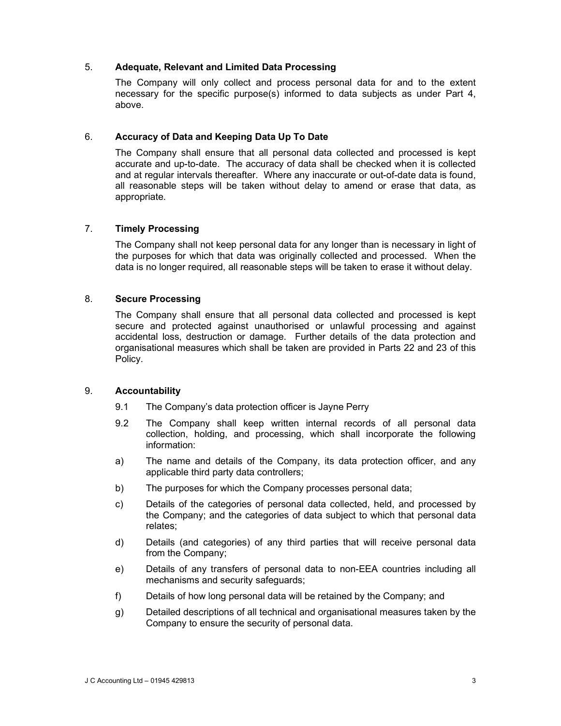### 5. Adequate, Relevant and Limited Data Processing

The Company will only collect and process personal data for and to the extent necessary for the specific purpose(s) informed to data subjects as under Part 4, above.

## 6. Accuracy of Data and Keeping Data Up To Date

The Company shall ensure that all personal data collected and processed is kept accurate and up-to-date. The accuracy of data shall be checked when it is collected and at regular intervals thereafter. Where any inaccurate or out-of-date data is found, all reasonable steps will be taken without delay to amend or erase that data, as appropriate.

# 7. Timely Processing

The Company shall not keep personal data for any longer than is necessary in light of the purposes for which that data was originally collected and processed. When the data is no longer required, all reasonable steps will be taken to erase it without delay.

## 8. Secure Processing

The Company shall ensure that all personal data collected and processed is kept secure and protected against unauthorised or unlawful processing and against accidental loss, destruction or damage. Further details of the data protection and organisational measures which shall be taken are provided in Parts 22 and 23 of this Policy.

#### 9. Accountability

- 9.1 The Company's data protection officer is Jayne Perry
- 9.2 The Company shall keep written internal records of all personal data collection, holding, and processing, which shall incorporate the following information:
- a) The name and details of the Company, its data protection officer, and any applicable third party data controllers;
- b) The purposes for which the Company processes personal data;
- c) Details of the categories of personal data collected, held, and processed by the Company; and the categories of data subject to which that personal data relates;
- d) Details (and categories) of any third parties that will receive personal data from the Company;
- e) Details of any transfers of personal data to non-EEA countries including all mechanisms and security safeguards;
- f) Details of how long personal data will be retained by the Company; and
- g) Detailed descriptions of all technical and organisational measures taken by the Company to ensure the security of personal data.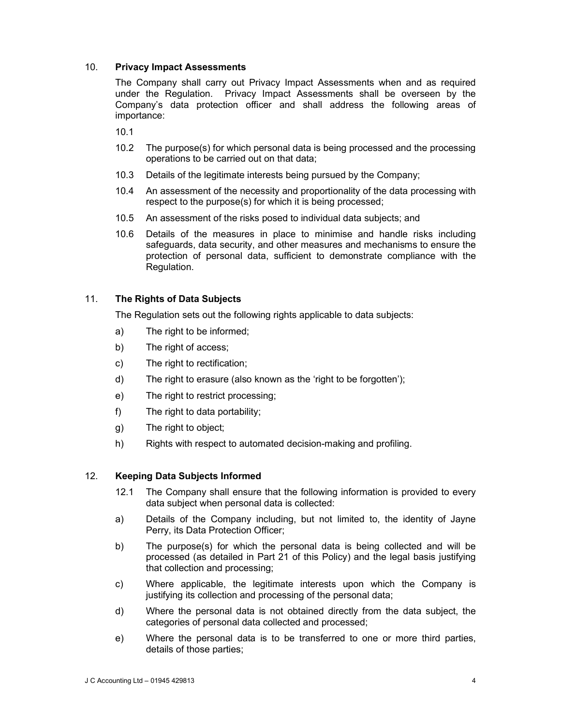## 10. Privacy Impact Assessments

The Company shall carry out Privacy Impact Assessments when and as required under the Regulation. Privacy Impact Assessments shall be overseen by the Company's data protection officer and shall address the following areas of importance:

10.1

- 10.2 The purpose(s) for which personal data is being processed and the processing operations to be carried out on that data;
- 10.3 Details of the legitimate interests being pursued by the Company;
- 10.4 An assessment of the necessity and proportionality of the data processing with respect to the purpose(s) for which it is being processed;
- 10.5 An assessment of the risks posed to individual data subjects; and
- 10.6 Details of the measures in place to minimise and handle risks including safeguards, data security, and other measures and mechanisms to ensure the protection of personal data, sufficient to demonstrate compliance with the Regulation.

## 11. The Rights of Data Subjects

The Regulation sets out the following rights applicable to data subjects:

- a) The right to be informed;
- b) The right of access;
- c) The right to rectification;
- d) The right to erasure (also known as the 'right to be forgotten');
- e) The right to restrict processing;
- f) The right to data portability;
- g) The right to object;
- h) Rights with respect to automated decision-making and profiling.

#### 12. Keeping Data Subjects Informed

- 12.1 The Company shall ensure that the following information is provided to every data subject when personal data is collected:
- a) Details of the Company including, but not limited to, the identity of Jayne Perry, its Data Protection Officer;
- b) The purpose(s) for which the personal data is being collected and will be processed (as detailed in Part 21 of this Policy) and the legal basis justifying that collection and processing;
- c) Where applicable, the legitimate interests upon which the Company is justifying its collection and processing of the personal data;
- d) Where the personal data is not obtained directly from the data subject, the categories of personal data collected and processed;
- e) Where the personal data is to be transferred to one or more third parties, details of those parties;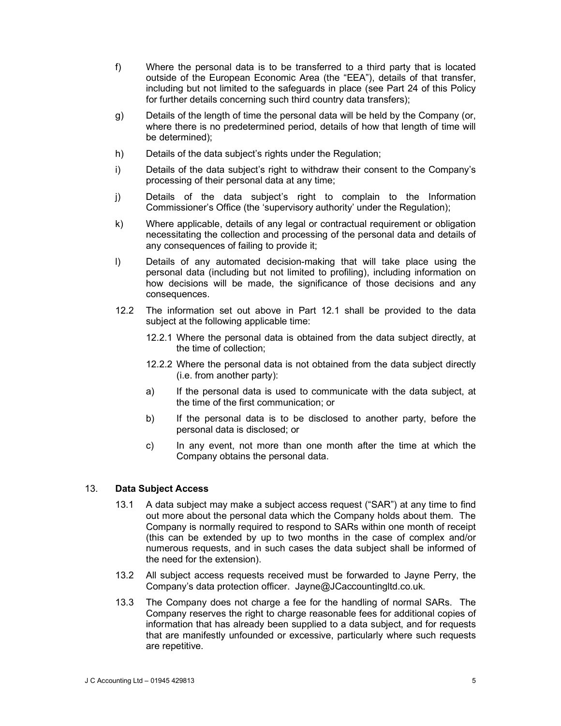- f) Where the personal data is to be transferred to a third party that is located outside of the European Economic Area (the "EEA"), details of that transfer, including but not limited to the safeguards in place (see Part 24 of this Policy for further details concerning such third country data transfers);
- g) Details of the length of time the personal data will be held by the Company (or, where there is no predetermined period, details of how that length of time will be determined);
- h) Details of the data subject's rights under the Regulation;
- i) Details of the data subject's right to withdraw their consent to the Company's processing of their personal data at any time;
- j) Details of the data subject's right to complain to the Information Commissioner's Office (the 'supervisory authority' under the Regulation);
- k) Where applicable, details of any legal or contractual requirement or obligation necessitating the collection and processing of the personal data and details of any consequences of failing to provide it;
- l) Details of any automated decision-making that will take place using the personal data (including but not limited to profiling), including information on how decisions will be made, the significance of those decisions and any consequences.
- 12.2 The information set out above in Part 12.1 shall be provided to the data subject at the following applicable time:
	- 12.2.1 Where the personal data is obtained from the data subject directly, at the time of collection;
	- 12.2.2 Where the personal data is not obtained from the data subject directly (i.e. from another party):
	- a) If the personal data is used to communicate with the data subject, at the time of the first communication; or
	- b) If the personal data is to be disclosed to another party, before the personal data is disclosed; or
	- c) In any event, not more than one month after the time at which the Company obtains the personal data.

# 13. Data Subject Access

- 13.1 A data subject may make a subject access request ("SAR") at any time to find out more about the personal data which the Company holds about them. The Company is normally required to respond to SARs within one month of receipt (this can be extended by up to two months in the case of complex and/or numerous requests, and in such cases the data subject shall be informed of the need for the extension).
- 13.2 All subject access requests received must be forwarded to Jayne Perry, the Company's data protection officer. Jayne@JCaccountingltd.co.uk.
- 13.3 The Company does not charge a fee for the handling of normal SARs. The Company reserves the right to charge reasonable fees for additional copies of information that has already been supplied to a data subject, and for requests that are manifestly unfounded or excessive, particularly where such requests are repetitive.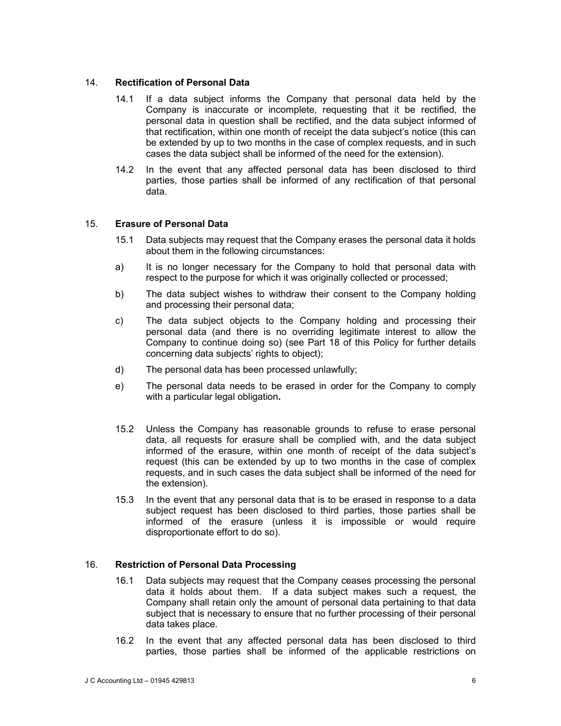## 14. Rectification of Personal Data

- 14.1 If a data subject informs the Company that personal data held by the Company is inaccurate or incomplete, requesting that it be rectified, the personal data in question shall be rectified, and the data subject informed of that rectification, within one month of receipt the data subject's notice (this can be extended by up to two months in the case of complex requests, and in such cases the data subject shall be informed of the need for the extension).
- 14.2 In the event that any affected personal data has been disclosed to third parties, those parties shall be informed of any rectification of that personal data.

## 15. Erasure of Personal Data

- 15.1 Data subjects may request that the Company erases the personal data it holds about them in the following circumstances:
- a) It is no longer necessary for the Company to hold that personal data with respect to the purpose for which it was originally collected or processed;
- b) The data subject wishes to withdraw their consent to the Company holding and processing their personal data;
- c) The data subject objects to the Company holding and processing their personal data (and there is no overriding legitimate interest to allow the Company to continue doing so) (see Part 18 of this Policy for further details concerning data subjects' rights to object);
- d) The personal data has been processed unlawfully;
- e) The personal data needs to be erased in order for the Company to comply with a particular legal obligation.
- 15.2 Unless the Company has reasonable grounds to refuse to erase personal data, all requests for erasure shall be complied with, and the data subject informed of the erasure, within one month of receipt of the data subject's request (this can be extended by up to two months in the case of complex requests, and in such cases the data subject shall be informed of the need for the extension).
- 15.3 In the event that any personal data that is to be erased in response to a data subject request has been disclosed to third parties, those parties shall be informed of the erasure (unless it is impossible or would require disproportionate effort to do so).

# 16. Restriction of Personal Data Processing

- 16.1 Data subjects may request that the Company ceases processing the personal data it holds about them. If a data subject makes such a request, the Company shall retain only the amount of personal data pertaining to that data subject that is necessary to ensure that no further processing of their personal data takes place.
- 16.2 In the event that any affected personal data has been disclosed to third parties, those parties shall be informed of the applicable restrictions on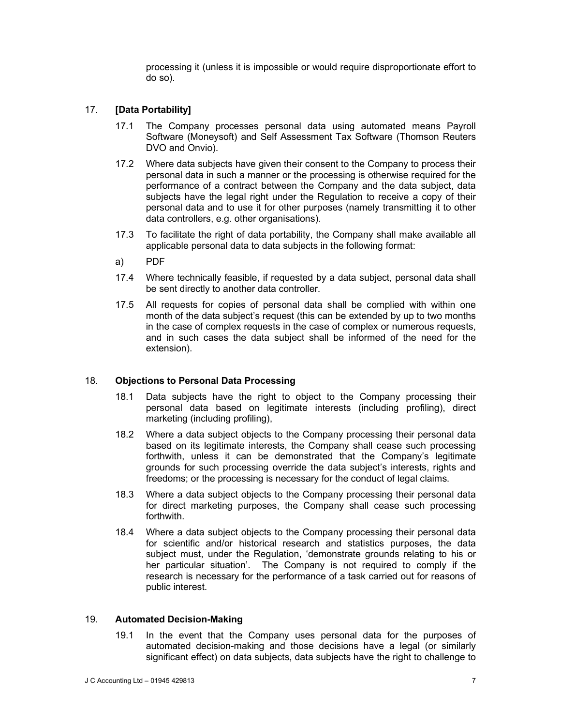processing it (unless it is impossible or would require disproportionate effort to do so).

# 17. [Data Portability]

- 17.1 The Company processes personal data using automated means Payroll Software (Moneysoft) and Self Assessment Tax Software (Thomson Reuters DVO and Onvio).
- 17.2 Where data subjects have given their consent to the Company to process their personal data in such a manner or the processing is otherwise required for the performance of a contract between the Company and the data subject, data subjects have the legal right under the Regulation to receive a copy of their personal data and to use it for other purposes (namely transmitting it to other data controllers, e.g. other organisations).
- 17.3 To facilitate the right of data portability, the Company shall make available all applicable personal data to data subjects in the following format:
- a) PDF
- 17.4 Where technically feasible, if requested by a data subject, personal data shall be sent directly to another data controller.
- 17.5 All requests for copies of personal data shall be complied with within one month of the data subject's request (this can be extended by up to two months in the case of complex requests in the case of complex or numerous requests, and in such cases the data subject shall be informed of the need for the extension).

# 18. Objections to Personal Data Processing

- 18.1 Data subjects have the right to object to the Company processing their personal data based on legitimate interests (including profiling), direct marketing (including profiling),
- 18.2 Where a data subject objects to the Company processing their personal data based on its legitimate interests, the Company shall cease such processing forthwith, unless it can be demonstrated that the Company's legitimate grounds for such processing override the data subject's interests, rights and freedoms; or the processing is necessary for the conduct of legal claims.
- 18.3 Where a data subject objects to the Company processing their personal data for direct marketing purposes, the Company shall cease such processing forthwith.
- 18.4 Where a data subject objects to the Company processing their personal data for scientific and/or historical research and statistics purposes, the data subject must, under the Regulation, 'demonstrate grounds relating to his or her particular situation'. The Company is not required to comply if the research is necessary for the performance of a task carried out for reasons of public interest.

# 19. Automated Decision-Making

19.1 In the event that the Company uses personal data for the purposes of automated decision-making and those decisions have a legal (or similarly significant effect) on data subjects, data subjects have the right to challenge to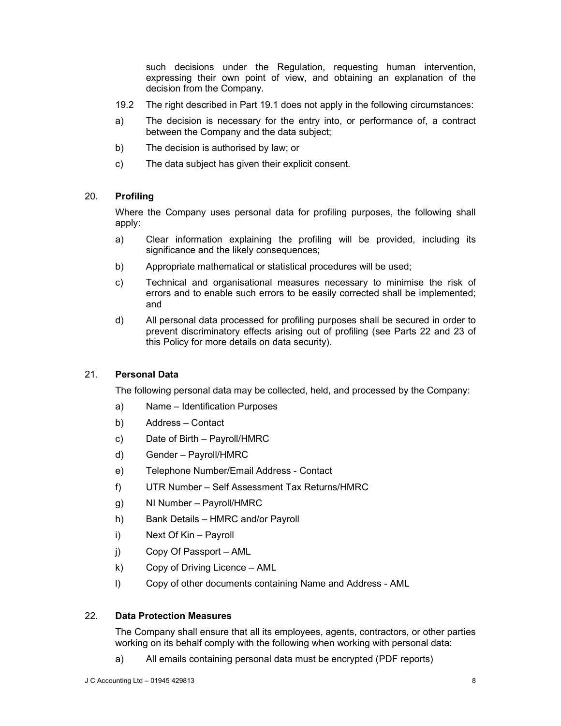such decisions under the Regulation, requesting human intervention, expressing their own point of view, and obtaining an explanation of the decision from the Company.

- 19.2 The right described in Part 19.1 does not apply in the following circumstances:
- a) The decision is necessary for the entry into, or performance of, a contract between the Company and the data subject;
- b) The decision is authorised by law; or
- c) The data subject has given their explicit consent.

## 20. Profiling

Where the Company uses personal data for profiling purposes, the following shall apply:

- a) Clear information explaining the profiling will be provided, including its significance and the likely consequences;
- b) Appropriate mathematical or statistical procedures will be used;
- c) Technical and organisational measures necessary to minimise the risk of errors and to enable such errors to be easily corrected shall be implemented; and
- d) All personal data processed for profiling purposes shall be secured in order to prevent discriminatory effects arising out of profiling (see Parts 22 and 23 of this Policy for more details on data security).

## 21. Personal Data

The following personal data may be collected, held, and processed by the Company:

- a) Name Identification Purposes
- b) Address Contact
- c) Date of Birth Payroll/HMRC
- d) Gender Payroll/HMRC
- e) Telephone Number/Email Address Contact
- f) UTR Number Self Assessment Tax Returns/HMRC
- g) NI Number Payroll/HMRC
- h) Bank Details HMRC and/or Payroll
- i) Next Of Kin Payroll
- j) Copy Of Passport AML
- k) Copy of Driving Licence AML
- l) Copy of other documents containing Name and Address AML

# 22. Data Protection Measures

The Company shall ensure that all its employees, agents, contractors, or other parties working on its behalf comply with the following when working with personal data:

a) All emails containing personal data must be encrypted (PDF reports)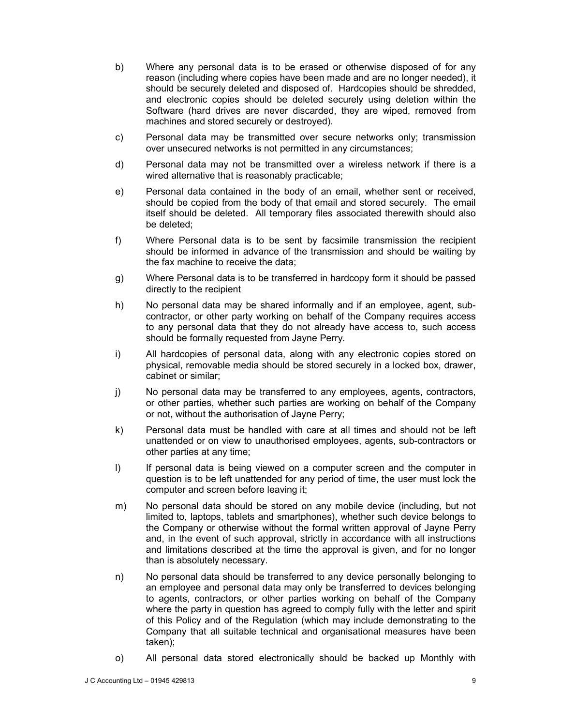- b) Where any personal data is to be erased or otherwise disposed of for any reason (including where copies have been made and are no longer needed), it should be securely deleted and disposed of. Hardcopies should be shredded, and electronic copies should be deleted securely using deletion within the Software (hard drives are never discarded, they are wiped, removed from machines and stored securely or destroyed).
- c) Personal data may be transmitted over secure networks only; transmission over unsecured networks is not permitted in any circumstances;
- d) Personal data may not be transmitted over a wireless network if there is a wired alternative that is reasonably practicable;
- e) Personal data contained in the body of an email, whether sent or received, should be copied from the body of that email and stored securely. The email itself should be deleted. All temporary files associated therewith should also be deleted;
- f) Where Personal data is to be sent by facsimile transmission the recipient should be informed in advance of the transmission and should be waiting by the fax machine to receive the data;
- g) Where Personal data is to be transferred in hardcopy form it should be passed directly to the recipient
- h) No personal data may be shared informally and if an employee, agent, subcontractor, or other party working on behalf of the Company requires access to any personal data that they do not already have access to, such access should be formally requested from Jayne Perry.
- i) All hardcopies of personal data, along with any electronic copies stored on physical, removable media should be stored securely in a locked box, drawer, cabinet or similar;
- j) No personal data may be transferred to any employees, agents, contractors, or other parties, whether such parties are working on behalf of the Company or not, without the authorisation of Jayne Perry;
- k) Personal data must be handled with care at all times and should not be left unattended or on view to unauthorised employees, agents, sub-contractors or other parties at any time;
- I) If personal data is being viewed on a computer screen and the computer in question is to be left unattended for any period of time, the user must lock the computer and screen before leaving it;
- m) No personal data should be stored on any mobile device (including, but not limited to, laptops, tablets and smartphones), whether such device belongs to the Company or otherwise without the formal written approval of Jayne Perry and, in the event of such approval, strictly in accordance with all instructions and limitations described at the time the approval is given, and for no longer than is absolutely necessary.
- n) No personal data should be transferred to any device personally belonging to an employee and personal data may only be transferred to devices belonging to agents, contractors, or other parties working on behalf of the Company where the party in question has agreed to comply fully with the letter and spirit of this Policy and of the Regulation (which may include demonstrating to the Company that all suitable technical and organisational measures have been taken);
- o) All personal data stored electronically should be backed up Monthly with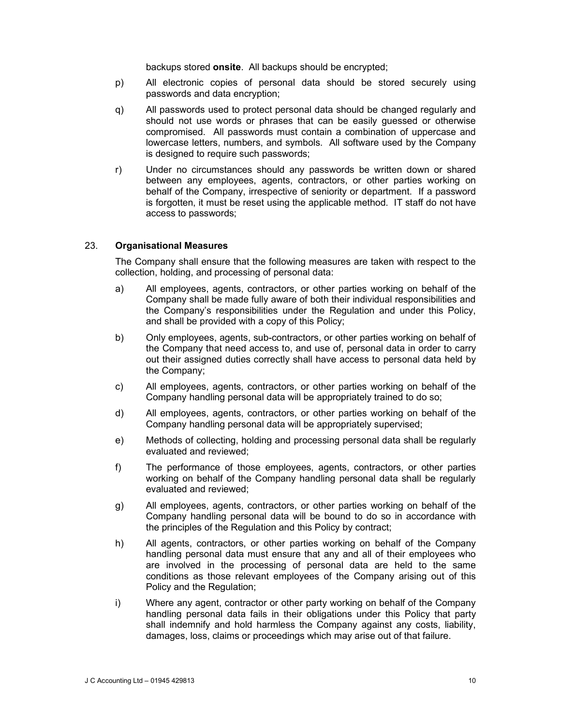backups stored onsite. All backups should be encrypted;

- p) All electronic copies of personal data should be stored securely using passwords and data encryption;
- q) All passwords used to protect personal data should be changed regularly and should not use words or phrases that can be easily guessed or otherwise compromised. All passwords must contain a combination of uppercase and lowercase letters, numbers, and symbols. All software used by the Company is designed to require such passwords;
- r) Under no circumstances should any passwords be written down or shared between any employees, agents, contractors, or other parties working on behalf of the Company, irrespective of seniority or department. If a password is forgotten, it must be reset using the applicable method. IT staff do not have access to passwords;

#### 23. Organisational Measures

The Company shall ensure that the following measures are taken with respect to the collection, holding, and processing of personal data:

- a) All employees, agents, contractors, or other parties working on behalf of the Company shall be made fully aware of both their individual responsibilities and the Company's responsibilities under the Regulation and under this Policy, and shall be provided with a copy of this Policy;
- b) Only employees, agents, sub-contractors, or other parties working on behalf of the Company that need access to, and use of, personal data in order to carry out their assigned duties correctly shall have access to personal data held by the Company;
- c) All employees, agents, contractors, or other parties working on behalf of the Company handling personal data will be appropriately trained to do so;
- d) All employees, agents, contractors, or other parties working on behalf of the Company handling personal data will be appropriately supervised;
- e) Methods of collecting, holding and processing personal data shall be regularly evaluated and reviewed;
- f) The performance of those employees, agents, contractors, or other parties working on behalf of the Company handling personal data shall be regularly evaluated and reviewed;
- g) All employees, agents, contractors, or other parties working on behalf of the Company handling personal data will be bound to do so in accordance with the principles of the Regulation and this Policy by contract;
- h) All agents, contractors, or other parties working on behalf of the Company handling personal data must ensure that any and all of their employees who are involved in the processing of personal data are held to the same conditions as those relevant employees of the Company arising out of this Policy and the Regulation;
- i) Where any agent, contractor or other party working on behalf of the Company handling personal data fails in their obligations under this Policy that party shall indemnify and hold harmless the Company against any costs, liability, damages, loss, claims or proceedings which may arise out of that failure.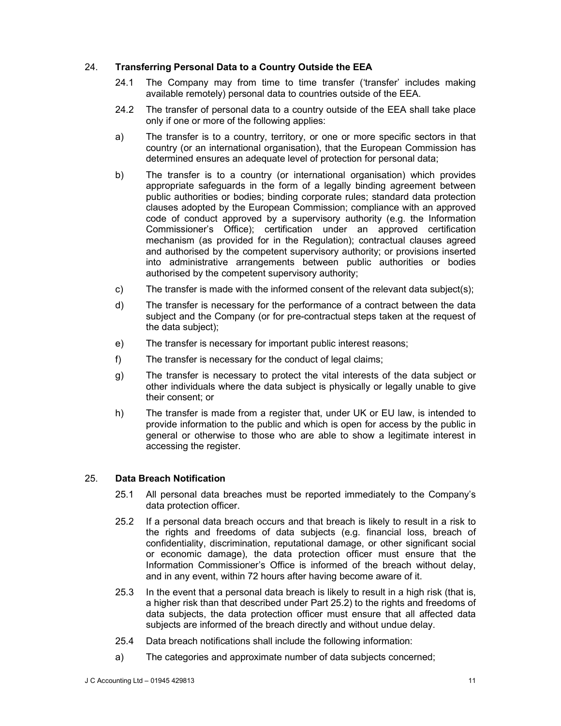## 24. Transferring Personal Data to a Country Outside the EEA

- 24.1 The Company may from time to time transfer ('transfer' includes making available remotely) personal data to countries outside of the EEA.
- 24.2 The transfer of personal data to a country outside of the EEA shall take place only if one or more of the following applies:
- a) The transfer is to a country, territory, or one or more specific sectors in that country (or an international organisation), that the European Commission has determined ensures an adequate level of protection for personal data;
- b) The transfer is to a country (or international organisation) which provides appropriate safeguards in the form of a legally binding agreement between public authorities or bodies; binding corporate rules; standard data protection clauses adopted by the European Commission; compliance with an approved code of conduct approved by a supervisory authority (e.g. the Information Commissioner's Office); certification under an approved certification mechanism (as provided for in the Regulation); contractual clauses agreed and authorised by the competent supervisory authority; or provisions inserted into administrative arrangements between public authorities or bodies authorised by the competent supervisory authority;
- c) The transfer is made with the informed consent of the relevant data subject(s);
- d) The transfer is necessary for the performance of a contract between the data subject and the Company (or for pre-contractual steps taken at the request of the data subject);
- e) The transfer is necessary for important public interest reasons;
- f) The transfer is necessary for the conduct of legal claims;
- g) The transfer is necessary to protect the vital interests of the data subject or other individuals where the data subject is physically or legally unable to give their consent; or
- h) The transfer is made from a register that, under UK or EU law, is intended to provide information to the public and which is open for access by the public in general or otherwise to those who are able to show a legitimate interest in accessing the register.

#### 25. Data Breach Notification

- 25.1 All personal data breaches must be reported immediately to the Company's data protection officer.
- 25.2 If a personal data breach occurs and that breach is likely to result in a risk to the rights and freedoms of data subjects (e.g. financial loss, breach of confidentiality, discrimination, reputational damage, or other significant social or economic damage), the data protection officer must ensure that the Information Commissioner's Office is informed of the breach without delay, and in any event, within 72 hours after having become aware of it.
- 25.3 In the event that a personal data breach is likely to result in a high risk (that is, a higher risk than that described under Part 25.2) to the rights and freedoms of data subjects, the data protection officer must ensure that all affected data subjects are informed of the breach directly and without undue delay.
- 25.4 Data breach notifications shall include the following information:
- a) The categories and approximate number of data subjects concerned;